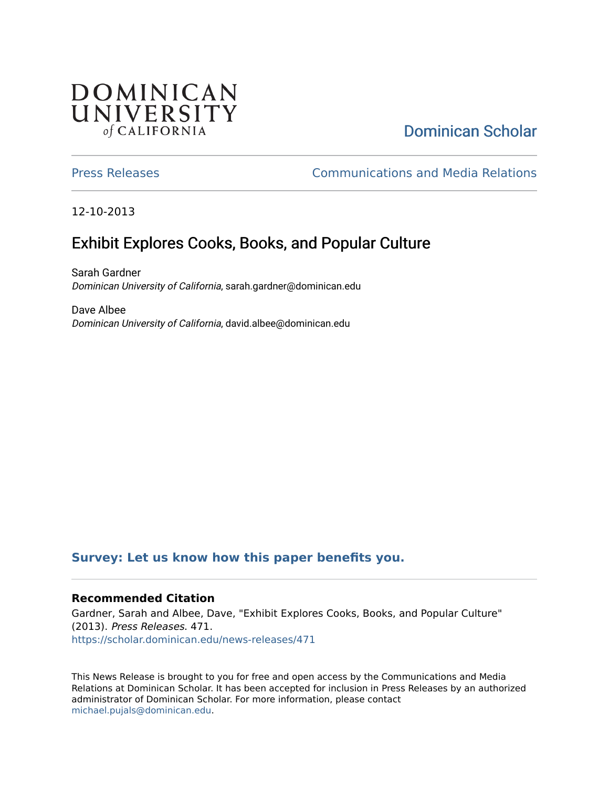## **DOMINICAN** UNIVERSITY of CALIFORNIA

# [Dominican Scholar](https://scholar.dominican.edu/)

[Press Releases](https://scholar.dominican.edu/news-releases) [Communications and Media Relations](https://scholar.dominican.edu/communications-media) 

12-10-2013

# Exhibit Explores Cooks, Books, and Popular Culture

Sarah Gardner Dominican University of California, sarah.gardner@dominican.edu

Dave Albee Dominican University of California, david.albee@dominican.edu

#### **[Survey: Let us know how this paper benefits you.](https://dominican.libwizard.com/dominican-scholar-feedback)**

#### **Recommended Citation**

Gardner, Sarah and Albee, Dave, "Exhibit Explores Cooks, Books, and Popular Culture" (2013). Press Releases. 471. [https://scholar.dominican.edu/news-releases/471](https://scholar.dominican.edu/news-releases/471?utm_source=scholar.dominican.edu%2Fnews-releases%2F471&utm_medium=PDF&utm_campaign=PDFCoverPages)

This News Release is brought to you for free and open access by the Communications and Media Relations at Dominican Scholar. It has been accepted for inclusion in Press Releases by an authorized administrator of Dominican Scholar. For more information, please contact [michael.pujals@dominican.edu.](mailto:michael.pujals@dominican.edu)